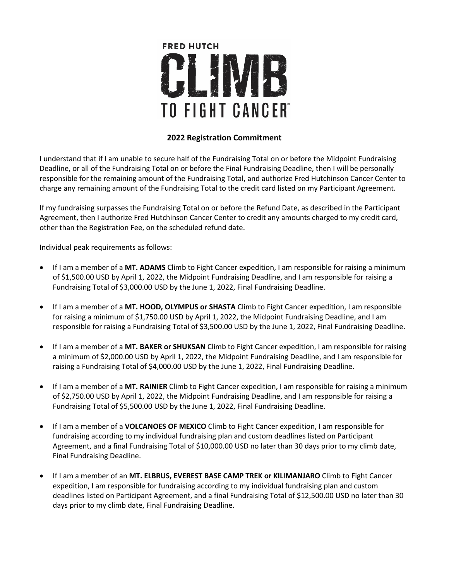

## **2022 Registration Commitment**

I understand that if I am unable to secure half of the Fundraising Total on or before the Midpoint Fundraising Deadline, or all of the Fundraising Total on or before the Final Fundraising Deadline, then I will be personally responsible for the remaining amount of the Fundraising Total, and authorize Fred Hutchinson Cancer Center to charge any remaining amount of the Fundraising Total to the credit card listed on my Participant Agreement.

If my fundraising surpasses the Fundraising Total on or before the Refund Date, as described in the Participant Agreement, then I authorize Fred Hutchinson Cancer Center to credit any amounts charged to my credit card, other than the Registration Fee, on the scheduled refund date.

Individual peak requirements as follows:

- If I am a member of a **MT. ADAMS** Climb to Fight Cancer expedition, I am responsible for raising a minimum of \$1,500.00 USD by April 1, 2022, the Midpoint Fundraising Deadline, and I am responsible for raising a Fundraising Total of \$3,000.00 USD by the June 1, 2022, Final Fundraising Deadline.
- If I am a member of a **MT. HOOD, OLYMPUS or SHASTA** Climb to Fight Cancer expedition, I am responsible for raising a minimum of \$1,750.00 USD by April 1, 2022, the Midpoint Fundraising Deadline, and I am responsible for raising a Fundraising Total of \$3,500.00 USD by the June 1, 2022, Final Fundraising Deadline.
- If I am a member of a **MT. BAKER or SHUKSAN** Climb to Fight Cancer expedition, I am responsible for raising a minimum of \$2,000.00 USD by April 1, 2022, the Midpoint Fundraising Deadline, and I am responsible for raising a Fundraising Total of \$4,000.00 USD by the June 1, 2022, Final Fundraising Deadline.
- If I am a member of a **MT. RAINIER** Climb to Fight Cancer expedition, I am responsible for raising a minimum of \$2,750.00 USD by April 1, 2022, the Midpoint Fundraising Deadline, and I am responsible for raising a Fundraising Total of \$5,500.00 USD by the June 1, 2022, Final Fundraising Deadline.
- If I am a member of a **VOLCANOES OF MEXICO** Climb to Fight Cancer expedition, I am responsible for fundraising according to my individual fundraising plan and custom deadlines listed on Participant Agreement, and a final Fundraising Total of \$10,000.00 USD no later than 30 days prior to my climb date, Final Fundraising Deadline.
- If I am a member of an **MT. ELBRUS, EVEREST BASE CAMP TREK or KILIMANJARO** Climb to Fight Cancer expedition, I am responsible for fundraising according to my individual fundraising plan and custom deadlines listed on Participant Agreement, and a final Fundraising Total of \$12,500.00 USD no later than 30 days prior to my climb date, Final Fundraising Deadline.